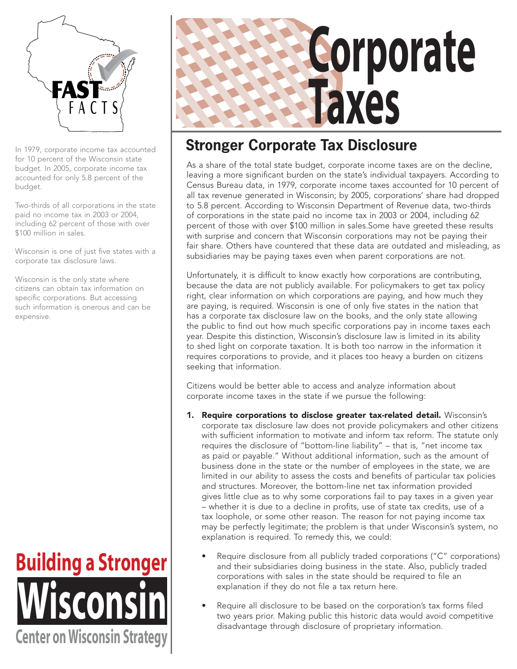

for 10 percent of the Wisconsin state budget. In 2005, corporate income tax accounted for only 5.8 percent of the budget.

Two-thirds of all corporations in the state paid no income tax in 2003 or 2004, including 62 percent of those with over \$100 million in sales.

Wisconsin is one of just five states with a corporate tax disclosure laws.

Wisconsin is the only state where citizens can obtain tax information on specific corporations. But accessing such information is onerous and can be expensive.





# In 1979, corporate income tax accounted **Stronger Corporate Tax Disclosure**

As a share of the total state budget, corporate income taxes are on the decline, leaving a more significant burden on the state's individual taxpayers. According to Census Bureau data, in 1979, corporate income taxes accounted for 10 percent of all tax revenue generated in Wisconsin; by 2005, corporations' share had dropped to 5.8 percent. According to Wisconsin Department of Revenue data, two-thirds of corporations in the state paid no income tax in 2003 or 2004, including 62 percent of those with over \$100 million in sales.Some have greeted these results with surprise and concern that Wisconsin corporations may not be paying their fair share. Others have countered that these data are outdated and misleading, as subsidiaries may be paying taxes even when parent corporations are not.

Unfortunately, it is difficult to know exactly how corporations are contributing, because the data are not publicly available. For policymakers to get tax policy right, clear information on which corporations are paying, and how much they are paying, is required. Wisconsin is one of only five states in the nation that has a corporate tax disclosure law on the books, and the only state allowing the public to find out how much specific corporations pay in income taxes each year. Despite this distinction, Wisconsin's disclosure law is limited in its ability to shed light on corporate taxation. It is both too narrow in the information it requires corporations to provide, and it places too heavy a burden on citizens seeking that information.

Citizens would be better able to access and analyze information about corporate income taxes in the state if we pursue the following:

- 1. Require corporations to disclose greater tax-related detail. Wisconsin's corporate tax disclosure law does not provide policymakers and other citizens with sufficient information to motivate and inform tax reform. The statute only requires the disclosure of "bottom-line liability" – that is, "net income tax as paid or payable." Without additional information, such as the amount of business done in the state or the number of employees in the state, we are limited in our ability to assess the costs and benefits of particular tax policies and structures. Moreover, the bottom-line net tax information provided gives little clue as to why some corporations fail to pay taxes in a given year – whether it is due to a decline in profits, use of state tax credits, use of a tax loophole, or some other reason. The reason for not paying income tax may be perfectly legitimate; the problem is that under Wisconsin's system, no explanation is required. To remedy this, we could:
	- Require disclosure from all publicly traded corporations ("C" corporations) and their subsidiaries doing business in the state. Also, publicly traded corporations with sales in the state should be required to file an explanation if they do not file a tax return here.
	- Require all disclosure to be based on the corporation's tax forms filed two years prior. Making public this historic data would avoid competitive disadvantage through disclosure of proprietary information.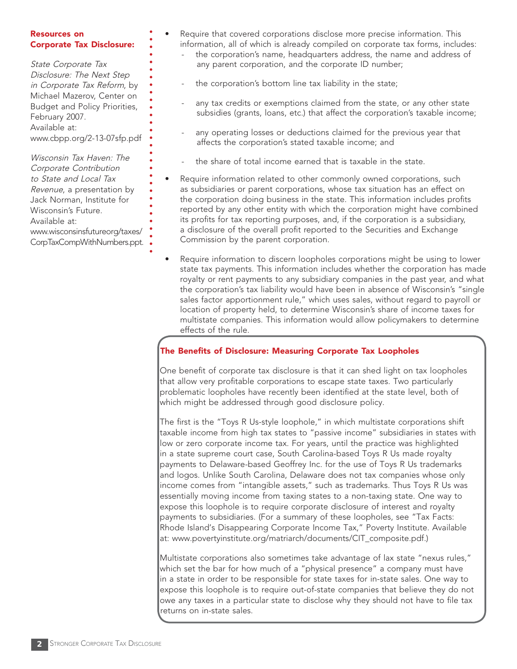#### Resources on Corporate Tax Disclosure:

State Corporate Tax Disclosure: The Next Step in Corporate Tax Reform, by Michael Mazerov, Center on Budget and Policy Priorities, February 2007. Available at: www.cbpp.org/2-13-07sfp.pdf

Wisconsin Tax Haven: The Corporate Contribution to State and Local Tax Revenue, a presentation by Jack Norman, Institute for Wisconsin's Future. Available at: www.wisconsinsfutureorg/taxes/ CorpTaxCompWithNumbers.ppt.

- Require that covered corporations disclose more precise information. This information, all of which is already compiled on corporate tax forms, includes: the corporation's name, headquarters address, the name and address of
	- the corporation's bottom line tax liability in the state;

any parent corporation, and the corporate ID number;

- any tax credits or exemptions claimed from the state, or any other state subsidies (grants, loans, etc.) that affect the corporation's taxable income;
- any operating losses or deductions claimed for the previous year that affects the corporation's stated taxable income; and
- the share of total income earned that is taxable in the state.
- Require information related to other commonly owned corporations, such as subsidiaries or parent corporations, whose tax situation has an effect on the corporation doing business in the state. This information includes profits reported by any other entity with which the corporation might have combined its profits for tax reporting purposes, and, if the corporation is a subsidiary, a disclosure of the overall profit reported to the Securities and Exchange Commission by the parent corporation.
- Require information to discern loopholes corporations might be using to lower state tax payments. This information includes whether the corporation has made royalty or rent payments to any subsidiary companies in the past year, and what the corporation's tax liability would have been in absence of Wisconsin's "single sales factor apportionment rule," which uses sales, without regard to payroll or location of property held, to determine Wisconsin's share of income taxes for multistate companies. This information would allow policymakers to determine effects of the rule.

## The Benefits of Disclosure: Measuring Corporate Tax Loopholes

One benefit of corporate tax disclosure is that it can shed light on tax loopholes that allow very profitable corporations to escape state taxes. Two particularly problematic loopholes have recently been identified at the state level, both of which might be addressed through good disclosure policy.

The first is the "Toys R Us-style loophole," in which multistate corporations shift taxable income from high tax states to "passive income" subsidiaries in states with low or zero corporate income tax. For years, until the practice was highlighted in a state supreme court case, South Carolina-based Toys R Us made royalty payments to Delaware-based Geoffrey Inc. for the use of Toys R Us trademarks and logos. Unlike South Carolina, Delaware does not tax companies whose only income comes from "intangible assets," such as trademarks. Thus Toys R Us was essentially moving income from taxing states to a non-taxing state. One way to expose this loophole is to require corporate disclosure of interest and royalty payments to subsidiaries. (For a summary of these loopholes, see "Tax Facts: Rhode Island's Disappearing Corporate Income Tax," Poverty Institute. Available at: www.povertyinstitute.org/matriarch/documents/CIT\_composite.pdf.)

Multistate corporations also sometimes take advantage of lax state "nexus rules," which set the bar for how much of a "physical presence" a company must have in a state in order to be responsible for state taxes for in-state sales. One way to expose this loophole is to require out-of-state companies that believe they do not owe any taxes in a particular state to disclose why they should not have to file tax returns on in-state sales.